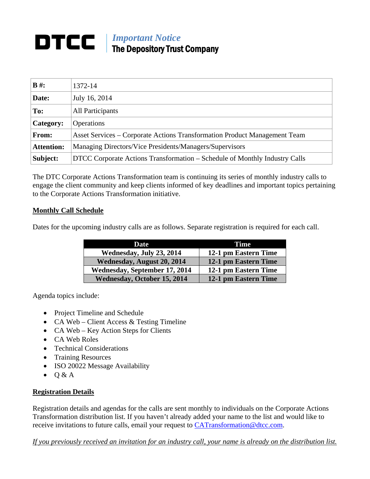## **IMPortant Notice** The Depository Trust Company

| $B \#$ :          | 1372-14                                                                    |  |
|-------------------|----------------------------------------------------------------------------|--|
| Date:             | July 16, 2014                                                              |  |
| To:               | All Participants                                                           |  |
| Category:         | Operations                                                                 |  |
| From:             | Asset Services – Corporate Actions Transformation Product Management Team  |  |
| <b>Attention:</b> | Managing Directors/Vice Presidents/Managers/Supervisors                    |  |
| Subject:          | DTCC Corporate Actions Transformation – Schedule of Monthly Industry Calls |  |

The DTC Corporate Actions Transformation team is continuing its series of monthly industry calls to engage the client community and keep clients informed of key deadlines and important topics pertaining to the Corporate Actions Transformation initiative.

## **Monthly Call Schedule**

Dates for the upcoming industry calls are as follows. Separate registration is required for each call.

| Date                               | Time                 |
|------------------------------------|----------------------|
| Wednesday, July 23, 2014           | 12-1 pm Eastern Time |
| Wednesday, August 20, 2014         | 12-1 pm Eastern Time |
| Wednesday, September 17, 2014      | 12-1 pm Eastern Time |
| <b>Wednesday, October 15, 2014</b> | 12-1 pm Eastern Time |

Agenda topics include:

- Project Timeline and Schedule
- CA Web Client Access & Testing Timeline
- CA Web Key Action Steps for Clients
- CA Web Roles
- Technical Considerations
- Training Resources
- ISO 20022 Message Availability
- $\bullet$  Q & A

## **Registration Details**

Registration details and agendas for the calls are sent monthly to individuals on the Corporate Actions Transformation distribution list. If you haven't already added your name to the list and would like to receive invitations to future calls, email your request to [CATransformation@dtcc.com.](mailto:CATransformation@dtcc.com)

*If you previously received an invitation for an industry call, your name is already on the distribution list.*